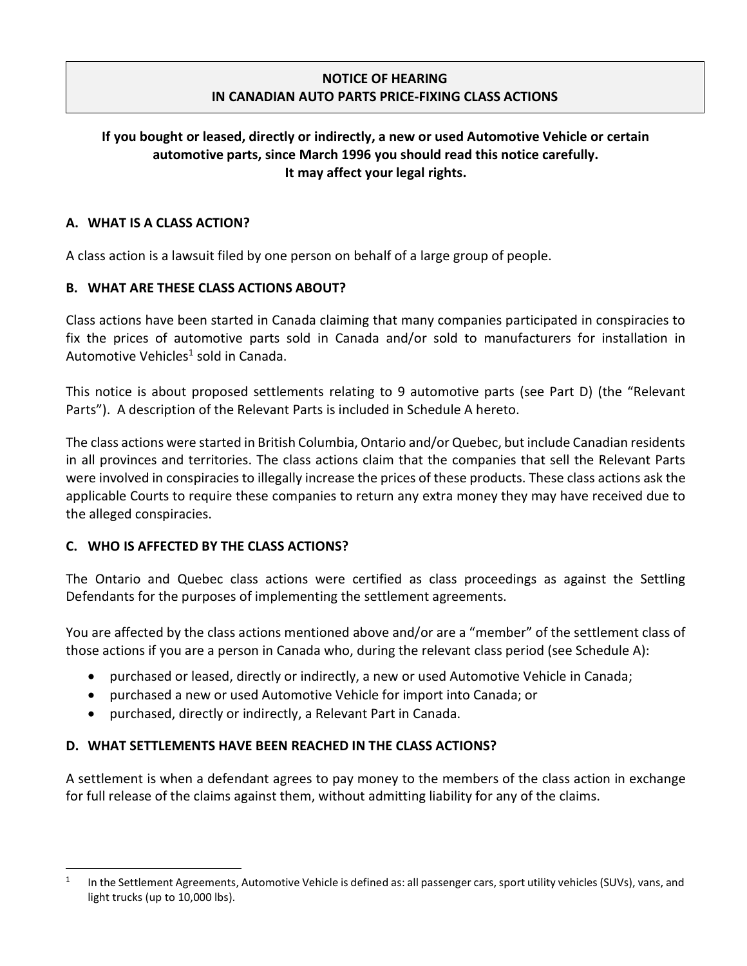### NOTICE OF HEARING IN CANADIAN AUTO PARTS PRICE-FIXING CLASS ACTIONS

## If you bought or leased, directly or indirectly, a new or used Automotive Vehicle or certain automotive parts, since March 1996 you should read this notice carefully. It may affect your legal rights.

#### A. WHAT IS A CLASS ACTION?

A class action is a lawsuit filed by one person on behalf of a large group of people.

### B. WHAT ARE THESE CLASS ACTIONS ABOUT?

Class actions have been started in Canada claiming that many companies participated in conspiracies to fix the prices of automotive parts sold in Canada and/or sold to manufacturers for installation in Automotive Vehicles<sup>1</sup> sold in Canada.

This notice is about proposed settlements relating to 9 automotive parts (see Part D) (the "Relevant Parts"). A description of the Relevant Parts is included in Schedule A hereto.

The class actions were started in British Columbia, Ontario and/or Quebec, but include Canadian residents in all provinces and territories. The class actions claim that the companies that sell the Relevant Parts were involved in conspiracies to illegally increase the prices of these products. These class actions ask the applicable Courts to require these companies to return any extra money they may have received due to the alleged conspiracies.

### C. WHO IS AFFECTED BY THE CLASS ACTIONS?

The Ontario and Quebec class actions were certified as class proceedings as against the Settling Defendants for the purposes of implementing the settlement agreements.

You are affected by the class actions mentioned above and/or are a "member" of the settlement class of those actions if you are a person in Canada who, during the relevant class period (see Schedule A):

- purchased or leased, directly or indirectly, a new or used Automotive Vehicle in Canada;
- purchased a new or used Automotive Vehicle for import into Canada; or
- purchased, directly or indirectly, a Relevant Part in Canada.

### D. WHAT SETTLEMENTS HAVE BEEN REACHED IN THE CLASS ACTIONS?

A settlement is when a defendant agrees to pay money to the members of the class action in exchange for full release of the claims against them, without admitting liability for any of the claims.

<sup>1</sup> In the Settlement Agreements, Automotive Vehicle is defined as: all passenger cars, sport utility vehicles (SUVs), vans, and light trucks (up to 10,000 lbs).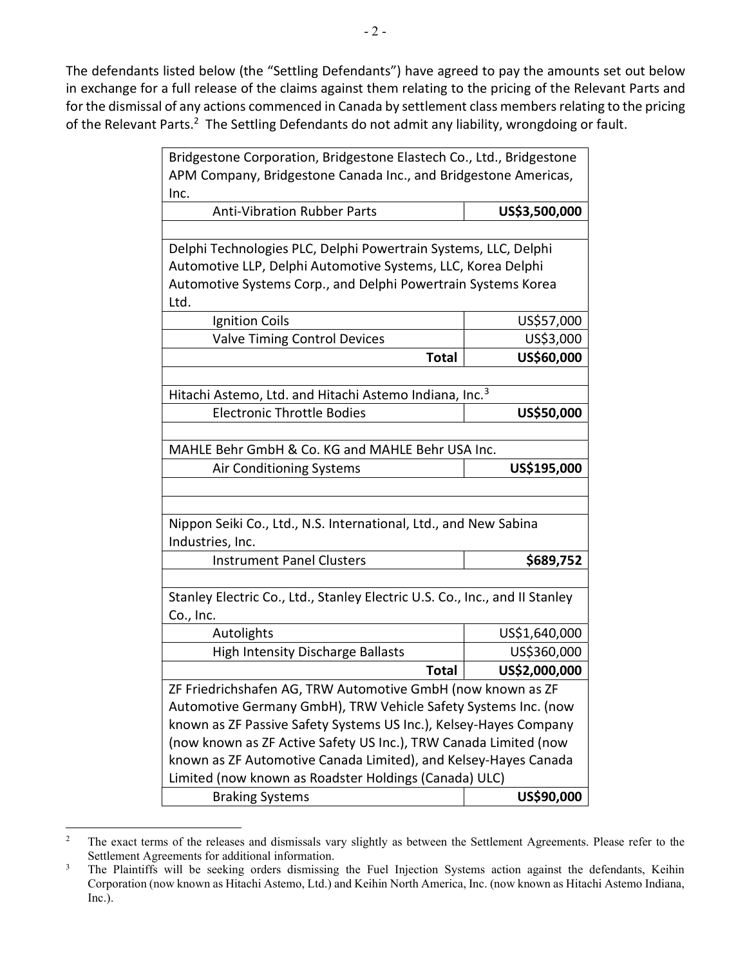The defendants listed below (the "Settling Defendants") have agreed to pay the amounts set out below in exchange for a full release of the claims against them relating to the pricing of the Relevant Parts and for the dismissal of any actions commenced in Canada by settlement class members relating to the pricing of the Relevant Parts.<sup>2</sup> The Settling Defendants do not admit any liability, wrongdoing or fault.

| Bridgestone Corporation, Bridgestone Elastech Co., Ltd., Bridgestone        |               |  |
|-----------------------------------------------------------------------------|---------------|--|
| APM Company, Bridgestone Canada Inc., and Bridgestone Americas,             |               |  |
| Inc.                                                                        |               |  |
| <b>Anti-Vibration Rubber Parts</b>                                          | US\$3,500,000 |  |
|                                                                             |               |  |
| Delphi Technologies PLC, Delphi Powertrain Systems, LLC, Delphi             |               |  |
| Automotive LLP, Delphi Automotive Systems, LLC, Korea Delphi                |               |  |
| Automotive Systems Corp., and Delphi Powertrain Systems Korea               |               |  |
| Ltd.                                                                        |               |  |
| <b>Ignition Coils</b>                                                       | US\$57,000    |  |
| Valve Timing Control Devices                                                | US\$3,000     |  |
| <b>Total</b>                                                                | US\$60,000    |  |
|                                                                             |               |  |
| Hitachi Astemo, Ltd. and Hitachi Astemo Indiana, Inc. <sup>3</sup>          |               |  |
| <b>Electronic Throttle Bodies</b>                                           | US\$50,000    |  |
|                                                                             |               |  |
| MAHLE Behr GmbH & Co. KG and MAHLE Behr USA Inc.                            |               |  |
| Air Conditioning Systems                                                    | US\$195,000   |  |
|                                                                             |               |  |
|                                                                             |               |  |
| Nippon Seiki Co., Ltd., N.S. International, Ltd., and New Sabina            |               |  |
| Industries, Inc.                                                            |               |  |
| <b>Instrument Panel Clusters</b>                                            | \$689,752     |  |
|                                                                             |               |  |
| Stanley Electric Co., Ltd., Stanley Electric U.S. Co., Inc., and II Stanley |               |  |
| Co., Inc.                                                                   |               |  |
| Autolights                                                                  | US\$1,640,000 |  |
| <b>High Intensity Discharge Ballasts</b>                                    | US\$360,000   |  |
| <b>Total</b>                                                                | US\$2,000,000 |  |
| ZF Friedrichshafen AG, TRW Automotive GmbH (now known as ZF                 |               |  |
| Automotive Germany GmbH), TRW Vehicle Safety Systems Inc. (now              |               |  |
| known as ZF Passive Safety Systems US Inc.), Kelsey-Hayes Company           |               |  |
| (now known as ZF Active Safety US Inc.), TRW Canada Limited (now            |               |  |
| known as ZF Automotive Canada Limited), and Kelsey-Hayes Canada             |               |  |
| Limited (now known as Roadster Holdings (Canada) ULC)                       |               |  |
| <b>Braking Systems</b>                                                      | US\$90,000    |  |

<sup>2</sup> The exact terms of the releases and dismissals vary slightly as between the Settlement Agreements. Please refer to the Settlement Agreements for additional information.

<sup>3</sup> The Plaintiffs will be seeking orders dismissing the Fuel Injection Systems action against the defendants, Keihin Corporation (now known as Hitachi Astemo, Ltd.) and Keihin North America, Inc. (now known as Hitachi Astemo Indiana, Inc.).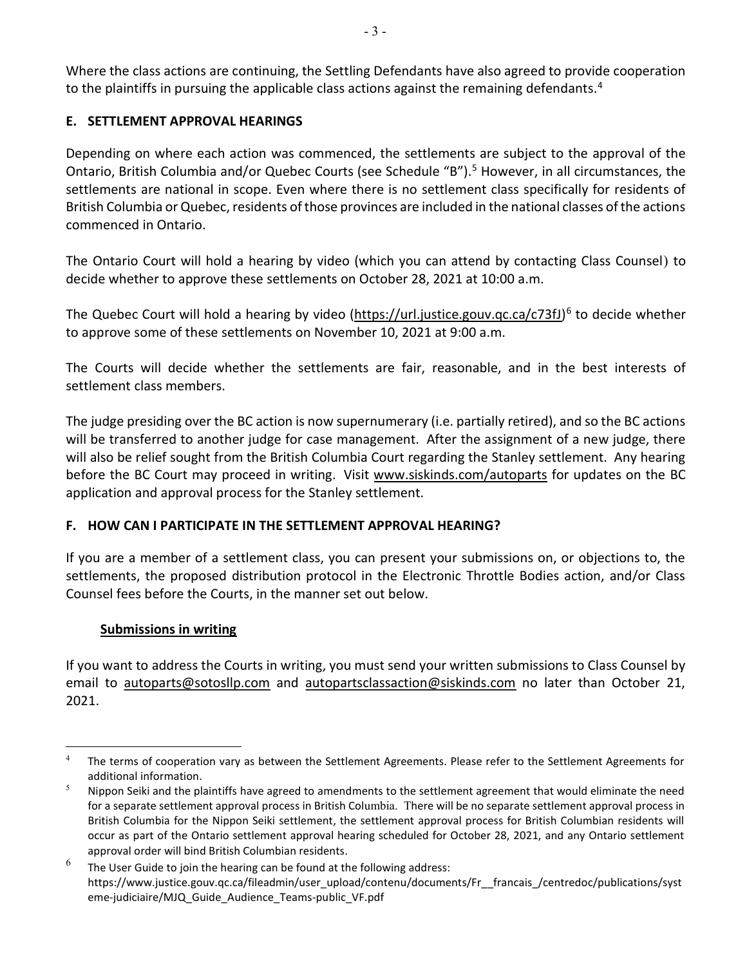Where the class actions are continuing, the Settling Defendants have also agreed to provide cooperation to the plaintiffs in pursuing the applicable class actions against the remaining defendants.<sup>4</sup>

## E. SETTLEMENT APPROVAL HEARINGS

Depending on where each action was commenced, the settlements are subject to the approval of the Ontario, British Columbia and/or Quebec Courts (see Schedule "B").<sup>5</sup> However, in all circumstances, the settlements are national in scope. Even where there is no settlement class specifically for residents of British Columbia or Quebec, residents of those provinces are included in the national classes of the actions commenced in Ontario.

The Ontario Court will hold a hearing by video (which you can attend by contacting Class Counsel) to decide whether to approve these settlements on October 28, 2021 at 10:00 a.m.

The Quebec Court will hold a hearing by video (https://url.justice.gouv.qc.ca/c73fJ)<sup>6</sup> to decide whether to approve some of these settlements on November 10, 2021 at 9:00 a.m.

The Courts will decide whether the settlements are fair, reasonable, and in the best interests of settlement class members.

The judge presiding over the BC action is now supernumerary (i.e. partially retired), and so the BC actions will be transferred to another judge for case management. After the assignment of a new judge, there will also be relief sought from the British Columbia Court regarding the Stanley settlement. Any hearing before the BC Court may proceed in writing. Visit www.siskinds.com/autoparts for updates on the BC application and approval process for the Stanley settlement.

# F. HOW CAN I PARTICIPATE IN THE SETTLEMENT APPROVAL HEARING?

If you are a member of a settlement class, you can present your submissions on, or objections to, the settlements, the proposed distribution protocol in the Electronic Throttle Bodies action, and/or Class Counsel fees before the Courts, in the manner set out below.

### Submissions in writing

If you want to address the Courts in writing, you must send your written submissions to Class Counsel by email to autoparts@sotosllp.com and autopartsclassaction@siskinds.com no later than October 21, 2021.

<sup>4</sup> The terms of cooperation vary as between the Settlement Agreements. Please refer to the Settlement Agreements for additional information.

<sup>5</sup> Nippon Seiki and the plaintiffs have agreed to amendments to the settlement agreement that would eliminate the need for a separate settlement approval process in British Columbia. There will be no separate settlement approval process in British Columbia for the Nippon Seiki settlement, the settlement approval process for British Columbian residents will occur as part of the Ontario settlement approval hearing scheduled for October 28, 2021, and any Ontario settlement approval order will bind British Columbian residents.

<sup>6</sup> The User Guide to join the hearing can be found at the following address: https://www.justice.gouv.qc.ca/fileadmin/user\_upload/contenu/documents/Fr\_\_francais\_/centredoc/publications/syst eme-judiciaire/MJQ\_Guide\_Audience\_Teams-public\_VF.pdf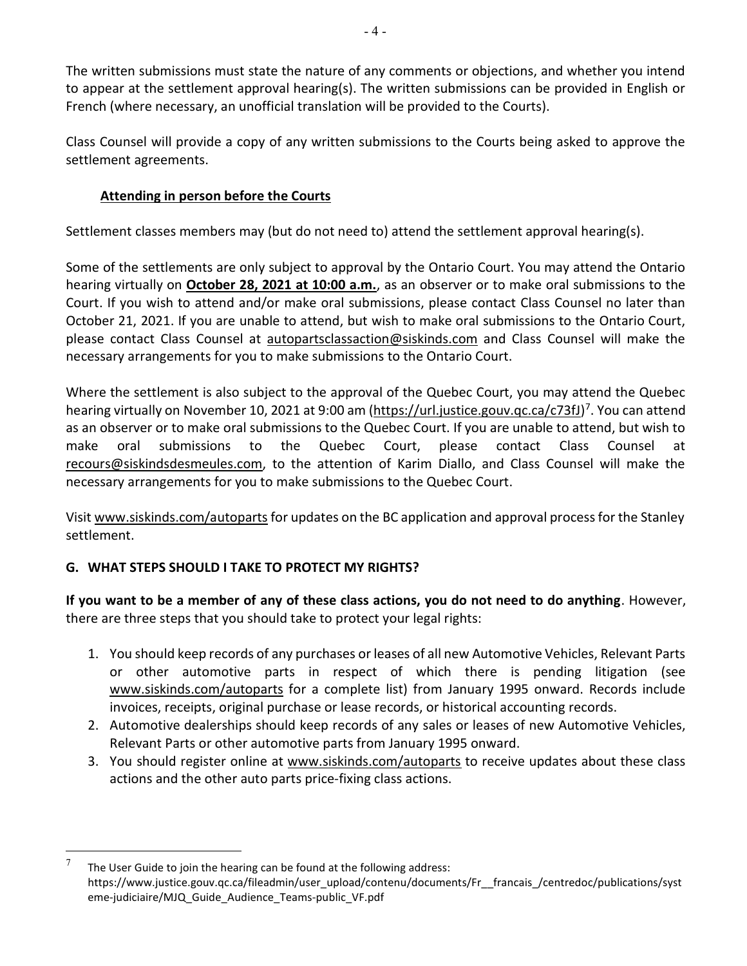The written submissions must state the nature of any comments or objections, and whether you intend to appear at the settlement approval hearing(s). The written submissions can be provided in English or French (where necessary, an unofficial translation will be provided to the Courts).

Class Counsel will provide a copy of any written submissions to the Courts being asked to approve the settlement agreements.

## Attending in person before the Courts

Settlement classes members may (but do not need to) attend the settlement approval hearing(s).

Some of the settlements are only subject to approval by the Ontario Court. You may attend the Ontario hearing virtually on October 28, 2021 at 10:00 a.m., as an observer or to make oral submissions to the Court. If you wish to attend and/or make oral submissions, please contact Class Counsel no later than October 21, 2021. If you are unable to attend, but wish to make oral submissions to the Ontario Court, please contact Class Counsel at autopartsclassaction@siskinds.com and Class Counsel will make the necessary arrangements for you to make submissions to the Ontario Court.

Where the settlement is also subject to the approval of the Quebec Court, you may attend the Quebec hearing virtually on November 10, 2021 at 9:00 am (https://url.justice.gouv.qc.ca/c73fJ)<sup>7</sup>. You can attend as an observer or to make oral submissions to the Quebec Court. If you are unable to attend, but wish to make oral submissions to the Quebec Court, please contact Class Counsel at recours@siskindsdesmeules.com, to the attention of Karim Diallo, and Class Counsel will make the necessary arrangements for you to make submissions to the Quebec Court.

Visit www.siskinds.com/autoparts for updates on the BC application and approval process for the Stanley settlement.

# G. WHAT STEPS SHOULD I TAKE TO PROTECT MY RIGHTS?

If you want to be a member of any of these class actions, you do not need to do anything. However, there are three steps that you should take to protect your legal rights:

- 1. You should keep records of any purchases or leases of all new Automotive Vehicles, Relevant Parts or other automotive parts in respect of which there is pending litigation (see www.siskinds.com/autoparts for a complete list) from January 1995 onward. Records include invoices, receipts, original purchase or lease records, or historical accounting records.
- 2. Automotive dealerships should keep records of any sales or leases of new Automotive Vehicles, Relevant Parts or other automotive parts from January 1995 onward.
- 3. You should register online at www.siskinds.com/autoparts to receive updates about these class actions and the other auto parts price-fixing class actions.

<sup>7</sup> The User Guide to join the hearing can be found at the following address: https://www.justice.gouv.qc.ca/fileadmin/user\_upload/contenu/documents/Fr\_\_francais\_/centredoc/publications/syst eme-judiciaire/MJQ\_Guide\_Audience\_Teams-public\_VF.pdf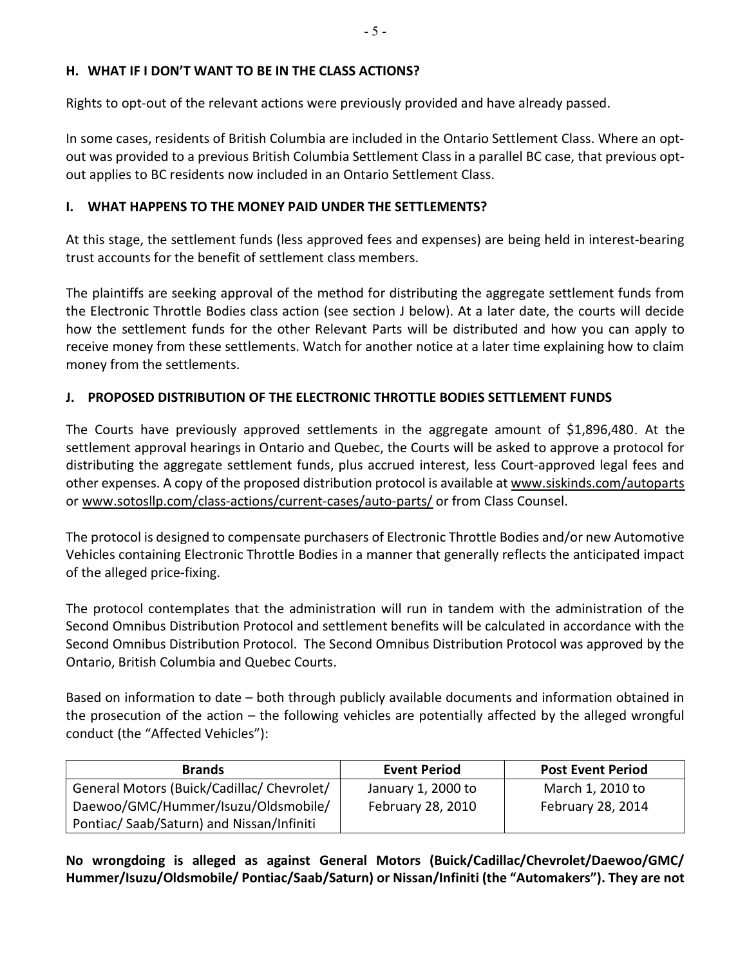#### H. WHAT IF I DON'T WANT TO BE IN THE CLASS ACTIONS?

Rights to opt-out of the relevant actions were previously provided and have already passed.

In some cases, residents of British Columbia are included in the Ontario Settlement Class. Where an optout was provided to a previous British Columbia Settlement Class in a parallel BC case, that previous optout applies to BC residents now included in an Ontario Settlement Class.

#### I. WHAT HAPPENS TO THE MONEY PAID UNDER THE SETTLEMENTS?

At this stage, the settlement funds (less approved fees and expenses) are being held in interest-bearing trust accounts for the benefit of settlement class members.

The plaintiffs are seeking approval of the method for distributing the aggregate settlement funds from the Electronic Throttle Bodies class action (see section J below). At a later date, the courts will decide how the settlement funds for the other Relevant Parts will be distributed and how you can apply to receive money from these settlements. Watch for another notice at a later time explaining how to claim money from the settlements.

#### J. PROPOSED DISTRIBUTION OF THE ELECTRONIC THROTTLE BODIES SETTLEMENT FUNDS

The Courts have previously approved settlements in the aggregate amount of \$1,896,480. At the settlement approval hearings in Ontario and Quebec, the Courts will be asked to approve a protocol for distributing the aggregate settlement funds, plus accrued interest, less Court-approved legal fees and other expenses. A copy of the proposed distribution protocol is available at www.siskinds.com/autoparts or www.sotosllp.com/class-actions/current-cases/auto-parts/ or from Class Counsel.

The protocol is designed to compensate purchasers of Electronic Throttle Bodies and/or new Automotive Vehicles containing Electronic Throttle Bodies in a manner that generally reflects the anticipated impact of the alleged price-fixing.

The protocol contemplates that the administration will run in tandem with the administration of the Second Omnibus Distribution Protocol and settlement benefits will be calculated in accordance with the Second Omnibus Distribution Protocol. The Second Omnibus Distribution Protocol was approved by the Ontario, British Columbia and Quebec Courts.

Based on information to date – both through publicly available documents and information obtained in the prosecution of the action – the following vehicles are potentially affected by the alleged wrongful conduct (the "Affected Vehicles"):

| <b>Brands</b>                              | <b>Event Period</b> | <b>Post Event Period</b> |
|--------------------------------------------|---------------------|--------------------------|
| General Motors (Buick/Cadillac/ Chevrolet/ | January 1, 2000 to  | March 1, 2010 to         |
| Daewoo/GMC/Hummer/Isuzu/Oldsmobile/        | February 28, 2010   | February 28, 2014        |
| Pontiac/Saab/Saturn) and Nissan/Infiniti   |                     |                          |

No wrongdoing is alleged as against General Motors (Buick/Cadillac/Chevrolet/Daewoo/GMC/ Hummer/Isuzu/Oldsmobile/ Pontiac/Saab/Saturn) or Nissan/Infiniti (the "Automakers"). They are not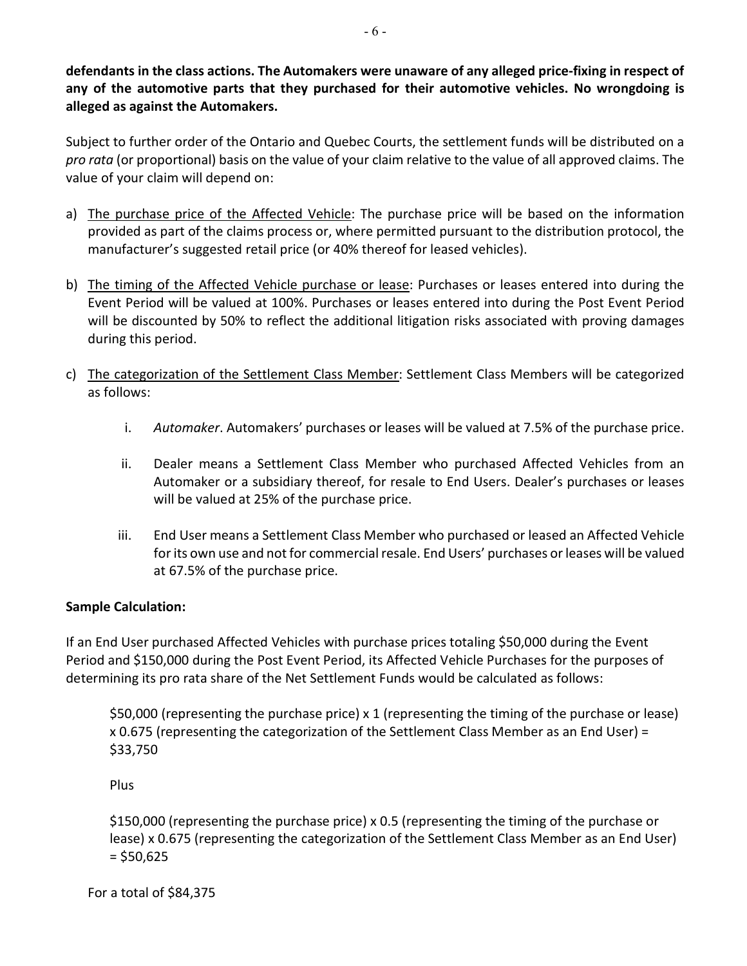defendants in the class actions. The Automakers were unaware of any alleged price-fixing in respect of any of the automotive parts that they purchased for their automotive vehicles. No wrongdoing is alleged as against the Automakers.

Subject to further order of the Ontario and Quebec Courts, the settlement funds will be distributed on a pro rata (or proportional) basis on the value of your claim relative to the value of all approved claims. The value of your claim will depend on:

- a) The purchase price of the Affected Vehicle: The purchase price will be based on the information provided as part of the claims process or, where permitted pursuant to the distribution protocol, the manufacturer's suggested retail price (or 40% thereof for leased vehicles).
- b) The timing of the Affected Vehicle purchase or lease: Purchases or leases entered into during the Event Period will be valued at 100%. Purchases or leases entered into during the Post Event Period will be discounted by 50% to reflect the additional litigation risks associated with proving damages during this period.
- c) The categorization of the Settlement Class Member: Settlement Class Members will be categorized as follows:
	- i. Automaker. Automakers' purchases or leases will be valued at 7.5% of the purchase price.
	- ii. Dealer means a Settlement Class Member who purchased Affected Vehicles from an Automaker or a subsidiary thereof, for resale to End Users. Dealer's purchases or leases will be valued at 25% of the purchase price.
	- iii. End User means a Settlement Class Member who purchased or leased an Affected Vehicle for its own use and not for commercial resale. End Users' purchases or leases will be valued at 67.5% of the purchase price.

### Sample Calculation:

If an End User purchased Affected Vehicles with purchase prices totaling \$50,000 during the Event Period and \$150,000 during the Post Event Period, its Affected Vehicle Purchases for the purposes of determining its pro rata share of the Net Settlement Funds would be calculated as follows:

\$50,000 (representing the purchase price) x 1 (representing the timing of the purchase or lease) x 0.675 (representing the categorization of the Settlement Class Member as an End User) = \$33,750

Plus

\$150,000 (representing the purchase price) x 0.5 (representing the timing of the purchase or lease) x 0.675 (representing the categorization of the Settlement Class Member as an End User)  $=$  \$50,625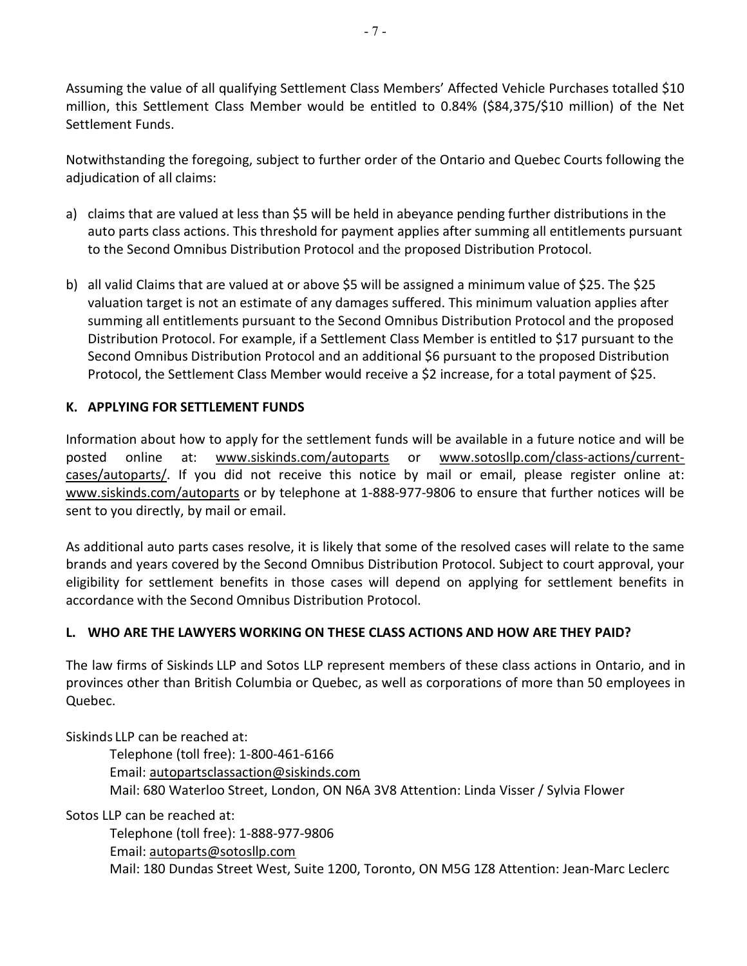Assuming the value of all qualifying Settlement Class Members' Affected Vehicle Purchases totalled \$10 million, this Settlement Class Member would be entitled to 0.84% (\$84,375/\$10 million) of the Net Settlement Funds.

Notwithstanding the foregoing, subject to further order of the Ontario and Quebec Courts following the adjudication of all claims:

- a) claims that are valued at less than \$5 will be held in abeyance pending further distributions in the auto parts class actions. This threshold for payment applies after summing all entitlements pursuant to the Second Omnibus Distribution Protocol and the proposed Distribution Protocol.
- b) all valid Claims that are valued at or above \$5 will be assigned a minimum value of \$25. The \$25 valuation target is not an estimate of any damages suffered. This minimum valuation applies after summing all entitlements pursuant to the Second Omnibus Distribution Protocol and the proposed Distribution Protocol. For example, if a Settlement Class Member is entitled to \$17 pursuant to the Second Omnibus Distribution Protocol and an additional \$6 pursuant to the proposed Distribution Protocol, the Settlement Class Member would receive a \$2 increase, for a total payment of \$25.

### K. APPLYING FOR SETTLEMENT FUNDS

Information about how to apply for the settlement funds will be available in a future notice and will be posted online at: www.siskinds.com/autoparts or www.sotosllp.com/class-actions/currentcases/autoparts/. If you did not receive this notice by mail or email, please register online at: www.siskinds.com/autoparts or by telephone at 1-888-977-9806 to ensure that further notices will be sent to you directly, by mail or email.

As additional auto parts cases resolve, it is likely that some of the resolved cases will relate to the same brands and years covered by the Second Omnibus Distribution Protocol. Subject to court approval, your eligibility for settlement benefits in those cases will depend on applying for settlement benefits in accordance with the Second Omnibus Distribution Protocol.

### L. WHO ARE THE LAWYERS WORKING ON THESE CLASS ACTIONS AND HOW ARE THEY PAID?

The law firms of Siskinds LLP and Sotos LLP represent members of these class actions in Ontario, and in provinces other than British Columbia or Quebec, as well as corporations of more than 50 employees in Quebec.

Siskinds LLP can be reached at:

Telephone (toll free): 1-800-461-6166 Email: autopartsclassaction@siskinds.com Mail: 680 Waterloo Street, London, ON N6A 3V8 Attention: Linda Visser / Sylvia Flower

Sotos LLP can be reached at:

 Telephone (toll free): 1-888-977-9806 Email: autoparts@sotosllp.com Mail: 180 Dundas Street West, Suite 1200, Toronto, ON M5G 1Z8 Attention: Jean-Marc Leclerc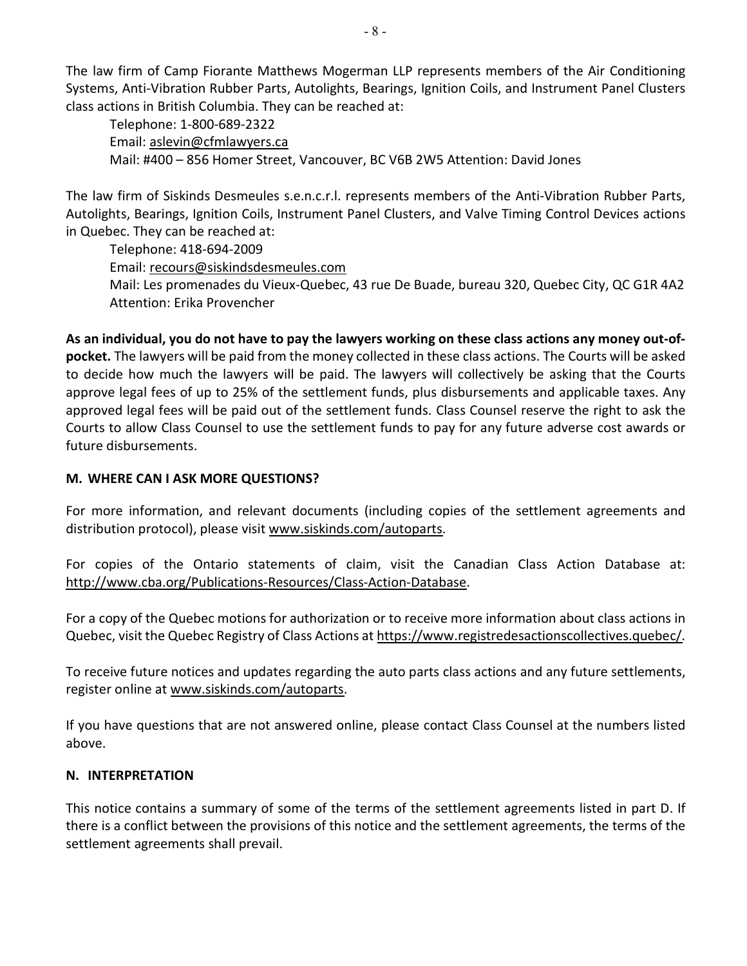The law firm of Camp Fiorante Matthews Mogerman LLP represents members of the Air Conditioning Systems, Anti-Vibration Rubber Parts, Autolights, Bearings, Ignition Coils, and Instrument Panel Clusters class actions in British Columbia. They can be reached at:

Telephone: 1-800-689-2322 Email: aslevin@cfmlawyers.ca Mail: #400 – 856 Homer Street, Vancouver, BC V6B 2W5 Attention: David Jones

The law firm of Siskinds Desmeules s.e.n.c.r.l. represents members of the Anti-Vibration Rubber Parts, Autolights, Bearings, Ignition Coils, Instrument Panel Clusters, and Valve Timing Control Devices actions in Quebec. They can be reached at:

Telephone: 418-694-2009 Email: recours@siskindsdesmeules.com Mail: Les promenades du Vieux-Quebec, 43 rue De Buade, bureau 320, Quebec City, QC G1R 4A2 Attention: Erika Provencher

As an individual, you do not have to pay the lawyers working on these class actions any money out-ofpocket. The lawyers will be paid from the money collected in these class actions. The Courts will be asked to decide how much the lawyers will be paid. The lawyers will collectively be asking that the Courts approve legal fees of up to 25% of the settlement funds, plus disbursements and applicable taxes. Any approved legal fees will be paid out of the settlement funds. Class Counsel reserve the right to ask the Courts to allow Class Counsel to use the settlement funds to pay for any future adverse cost awards or future disbursements.

#### M. WHERE CAN I ASK MORE QUESTIONS?

For more information, and relevant documents (including copies of the settlement agreements and distribution protocol), please visit www.siskinds.com/autoparts.

For copies of the Ontario statements of claim, visit the Canadian Class Action Database at: http://www.cba.org/Publications-Resources/Class-Action-Database.

For a copy of the Quebec motions for authorization or to receive more information about class actions in Quebec, visit the Quebec Registry of Class Actions at https://www.registredesactionscollectives.quebec/.

To receive future notices and updates regarding the auto parts class actions and any future settlements, register online at www.siskinds.com/autoparts.

If you have questions that are not answered online, please contact Class Counsel at the numbers listed above.

#### N. INTERPRETATION

This notice contains a summary of some of the terms of the settlement agreements listed in part D. If there is a conflict between the provisions of this notice and the settlement agreements, the terms of the settlement agreements shall prevail.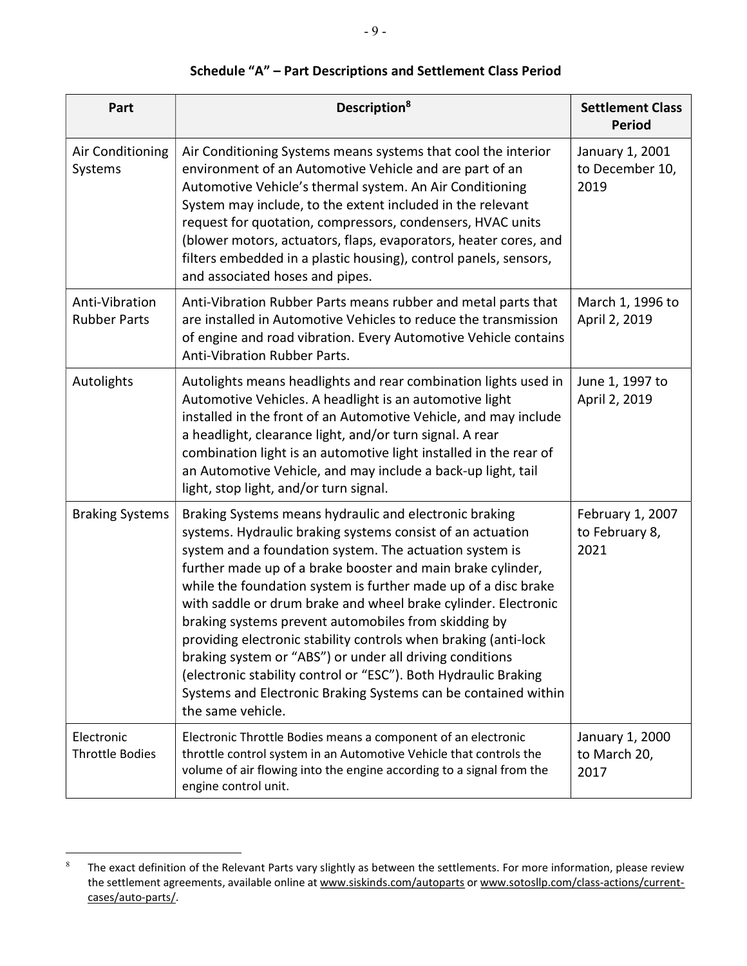| Part                                  | Description <sup>8</sup>                                                                                                                                                                                                                                                                                                                                                                                                                                                                                                                                                                                                                                                                                                            | <b>Settlement Class</b><br><b>Period</b>   |
|---------------------------------------|-------------------------------------------------------------------------------------------------------------------------------------------------------------------------------------------------------------------------------------------------------------------------------------------------------------------------------------------------------------------------------------------------------------------------------------------------------------------------------------------------------------------------------------------------------------------------------------------------------------------------------------------------------------------------------------------------------------------------------------|--------------------------------------------|
| Air Conditioning<br>Systems           | Air Conditioning Systems means systems that cool the interior<br>environment of an Automotive Vehicle and are part of an<br>Automotive Vehicle's thermal system. An Air Conditioning<br>System may include, to the extent included in the relevant<br>request for quotation, compressors, condensers, HVAC units<br>(blower motors, actuators, flaps, evaporators, heater cores, and<br>filters embedded in a plastic housing), control panels, sensors,<br>and associated hoses and pipes.                                                                                                                                                                                                                                         | January 1, 2001<br>to December 10,<br>2019 |
| Anti-Vibration<br><b>Rubber Parts</b> | Anti-Vibration Rubber Parts means rubber and metal parts that<br>are installed in Automotive Vehicles to reduce the transmission<br>of engine and road vibration. Every Automotive Vehicle contains<br>Anti-Vibration Rubber Parts.                                                                                                                                                                                                                                                                                                                                                                                                                                                                                                 | March 1, 1996 to<br>April 2, 2019          |
| Autolights                            | Autolights means headlights and rear combination lights used in<br>Automotive Vehicles. A headlight is an automotive light<br>installed in the front of an Automotive Vehicle, and may include<br>a headlight, clearance light, and/or turn signal. A rear<br>combination light is an automotive light installed in the rear of<br>an Automotive Vehicle, and may include a back-up light, tail<br>light, stop light, and/or turn signal.                                                                                                                                                                                                                                                                                           | June 1, 1997 to<br>April 2, 2019           |
| <b>Braking Systems</b>                | Braking Systems means hydraulic and electronic braking<br>systems. Hydraulic braking systems consist of an actuation<br>system and a foundation system. The actuation system is<br>further made up of a brake booster and main brake cylinder,<br>while the foundation system is further made up of a disc brake<br>with saddle or drum brake and wheel brake cylinder. Electronic<br>braking systems prevent automobiles from skidding by<br>providing electronic stability controls when braking (anti-lock<br>braking system or "ABS") or under all driving conditions<br>(electronic stability control or "ESC"). Both Hydraulic Braking<br>Systems and Electronic Braking Systems can be contained within<br>the same vehicle. | February 1, 2007<br>to February 8,<br>2021 |
| Electronic<br><b>Throttle Bodies</b>  | Electronic Throttle Bodies means a component of an electronic<br>throttle control system in an Automotive Vehicle that controls the<br>volume of air flowing into the engine according to a signal from the<br>engine control unit.                                                                                                                                                                                                                                                                                                                                                                                                                                                                                                 | January 1, 2000<br>to March 20,<br>2017    |

# Schedule "A" – Part Descriptions and Settlement Class Period

<sup>8</sup> The exact definition of the Relevant Parts vary slightly as between the settlements. For more information, please review the settlement agreements, available online at www.siskinds.com/autoparts or www.sotosllp.com/class-actions/currentcases/auto-parts/.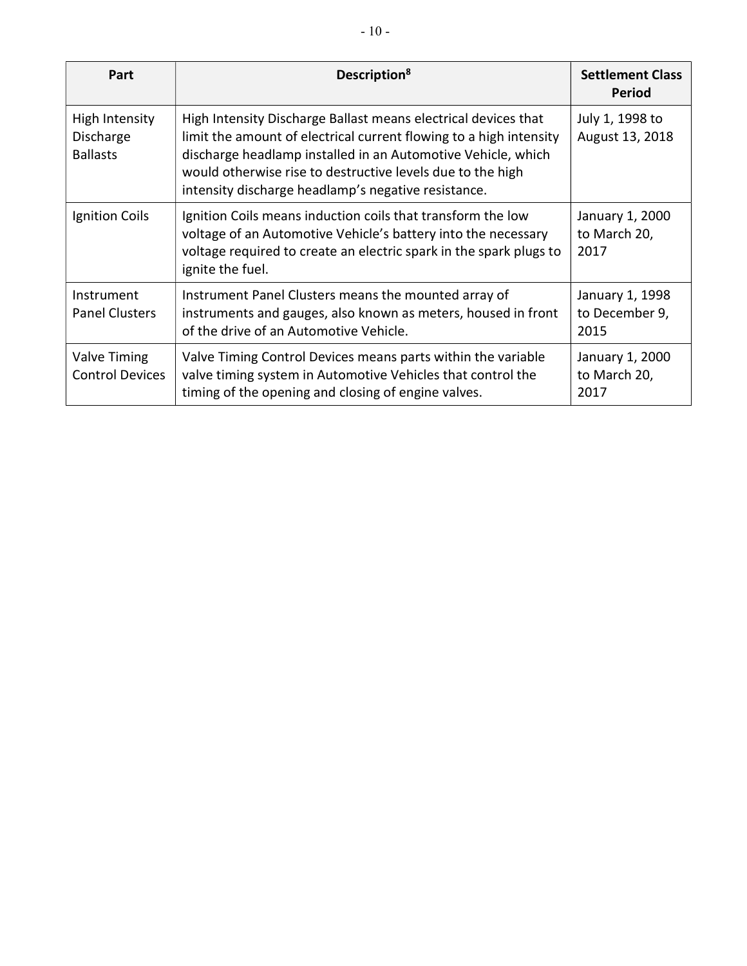| Part                                           | Description <sup>8</sup>                                                                                                                                                                                                                                                                                                  | <b>Settlement Class</b><br><b>Period</b>  |
|------------------------------------------------|---------------------------------------------------------------------------------------------------------------------------------------------------------------------------------------------------------------------------------------------------------------------------------------------------------------------------|-------------------------------------------|
| High Intensity<br>Discharge<br><b>Ballasts</b> | High Intensity Discharge Ballast means electrical devices that<br>limit the amount of electrical current flowing to a high intensity<br>discharge headlamp installed in an Automotive Vehicle, which<br>would otherwise rise to destructive levels due to the high<br>intensity discharge headlamp's negative resistance. | July 1, 1998 to<br>August 13, 2018        |
| Ignition Coils                                 | Ignition Coils means induction coils that transform the low<br>voltage of an Automotive Vehicle's battery into the necessary<br>voltage required to create an electric spark in the spark plugs to<br>ignite the fuel.                                                                                                    | January 1, 2000<br>to March 20,<br>2017   |
| Instrument<br><b>Panel Clusters</b>            | Instrument Panel Clusters means the mounted array of<br>instruments and gauges, also known as meters, housed in front<br>of the drive of an Automotive Vehicle.                                                                                                                                                           | January 1, 1998<br>to December 9,<br>2015 |
| Valve Timing<br><b>Control Devices</b>         | Valve Timing Control Devices means parts within the variable<br>valve timing system in Automotive Vehicles that control the<br>timing of the opening and closing of engine valves.                                                                                                                                        | January 1, 2000<br>to March 20,<br>2017   |